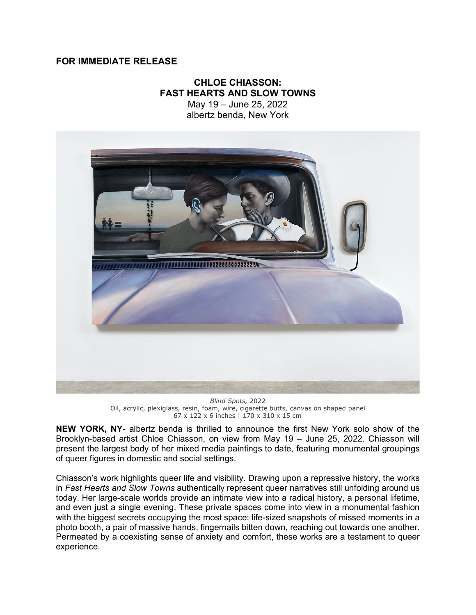## **FOR IMMEDIATE RELEASE**

## **CHLOE CHIASSON: FAST HEARTS AND SLOW TOWNS**

May 19 – June 25, 2022 albertz benda, New York



*Blind Spots,* 2022 Oil, acrylic, plexiglass, resin, foam, wire, cigarette butts, canvas on shaped panel 67 x 122 x 6 inches | 170 x 310 x 15 cm

**NEW YORK, NY-** albertz benda is thrilled to announce the first New York solo show of the Brooklyn-based artist Chloe Chiasson, on view from May 19 – June 25, 2022. Chiasson will present the largest body of her mixed media paintings to date, featuring monumental groupings of queer figures in domestic and social settings.

Chiasson's work highlights queer life and visibility. Drawing upon a repressive history, the works in *Fast Hearts and Slow Towns* authentically represent queer narratives still unfolding around us today. Her large-scale worlds provide an intimate view into a radical history, a personal lifetime, and even just a single evening. These private spaces come into view in a monumental fashion with the biggest secrets occupying the most space: life-sized snapshots of missed moments in a photo booth, a pair of massive hands, fingernails bitten down, reaching out towards one another. Permeated by a coexisting sense of anxiety and comfort, these works are a testament to queer experience.